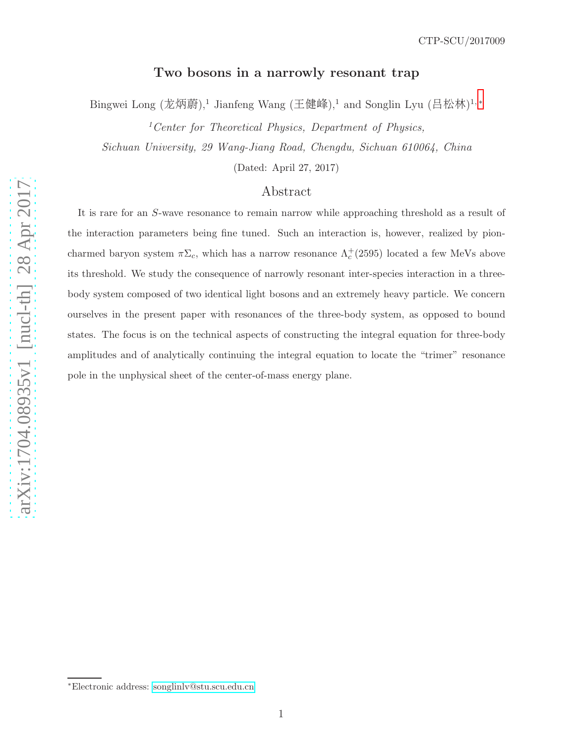# Two bosons in a narrowly resonant trap

Bingwei Long (龙炳蔚),<sup>1</sup> Jianfeng Wang (王健峰),<sup>1</sup> and Songlin Lyu (吕松林)<sup>1,\*</sup>

 $1$ <sup>1</sup> Center for Theoretical Physics, Department of Physics, Sichuan University, 29 Wang-Jiang Road, Chengdu, Sichuan 610064, China

(Dated: April 27, 2017)

# Abstract

It is rare for an S-wave resonance to remain narrow while approaching threshold as a result of the interaction parameters being fine tuned. Such an interaction is, however, realized by pioncharmed baryon system  $\pi\Sigma_c$ , which has a narrow resonance  $\Lambda_c^+(2595)$  located a few MeVs above its threshold. We study the consequence of narrowly resonant inter-species interaction in a threebody system composed of two identical light bosons and an extremely heavy particle. We concern ourselves in the present paper with resonances of the three-body system, as opposed to bound states. The focus is on the technical aspects of constructing the integral equation for three-body amplitudes and of analytically continuing the integral equation to locate the "trimer" resonance pole in the unphysical sheet of the center-of-mass energy plane.

<span id="page-0-0"></span><sup>∗</sup>Electronic address: [songlinlv@stu.scu.edu.cn](mailto:songlinlv@stu.scu.edu.cn)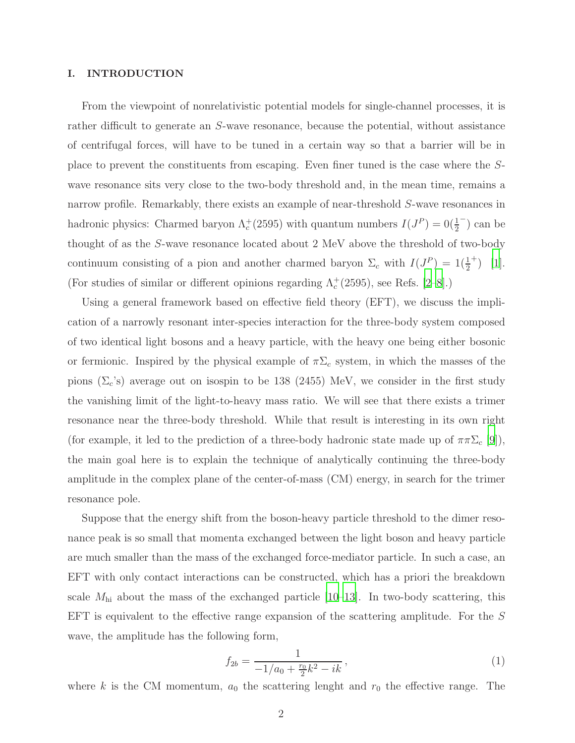### I. INTRODUCTION

From the viewpoint of nonrelativistic potential models for single-channel processes, it is rather difficult to generate an S-wave resonance, because the potential, without assistance of centrifugal forces, will have to be tuned in a certain way so that a barrier will be in place to prevent the constituents from escaping. Even finer tuned is the case where the Swave resonance sits very close to the two-body threshold and, in the mean time, remains a narrow profile. Remarkably, there exists an example of near-threshold S-wave resonances in hadronic physics: Charmed baryon  $\Lambda_c^+(2595)$  with quantum numbers  $I(J^P) = 0(\frac{1}{2})$ − ) can be thought of as the S-wave resonance located about 2 MeV above the threshold of two-body continuum consisting of a pion and another charmed baryon  $\Sigma_c$  with  $I(J^P) = 1(\frac{1}{2})$  $^{+})$  [\[1\]](#page-13-0). (For studies of similar or different opinions regarding  $\Lambda_c^+(2595)$ , see Refs. [\[2](#page-13-1)[–8\]](#page-14-0).)

Using a general framework based on effective field theory (EFT), we discuss the implication of a narrowly resonant inter-species interaction for the three-body system composed of two identical light bosons and a heavy particle, with the heavy one being either bosonic or fermionic. Inspired by the physical example of  $\pi\Sigma_c$  system, in which the masses of the pions  $(\Sigma_c)$  average out on isospin to be 138 (2455) MeV, we consider in the first study the vanishing limit of the light-to-heavy mass ratio. We will see that there exists a trimer resonance near the three-body threshold. While that result is interesting in its own right (for example, it led to the prediction of a three-body hadronic state made up of  $\pi \pi \Sigma_c$  [\[9](#page-14-1)]), the main goal here is to explain the technique of analytically continuing the three-body amplitude in the complex plane of the center-of-mass (CM) energy, in search for the trimer resonance pole.

Suppose that the energy shift from the boson-heavy particle threshold to the dimer resonance peak is so small that momenta exchanged between the light boson and heavy particle are much smaller than the mass of the exchanged force-mediator particle. In such a case, an EFT with only contact interactions can be constructed, which has a priori the breakdown scale  $M_{\text{hi}}$  about the mass of the exchanged particle [\[10](#page-14-2)[–13](#page-14-3)]. In two-body scattering, this EFT is equivalent to the effective range expansion of the scattering amplitude. For the S wave, the amplitude has the following form,

$$
f_{2b} = \frac{1}{-1/a_0 + \frac{r_0}{2}k^2 - ik},\tag{1}
$$

where k is the CM momentum,  $a_0$  the scattering lenght and  $r_0$  the effective range. The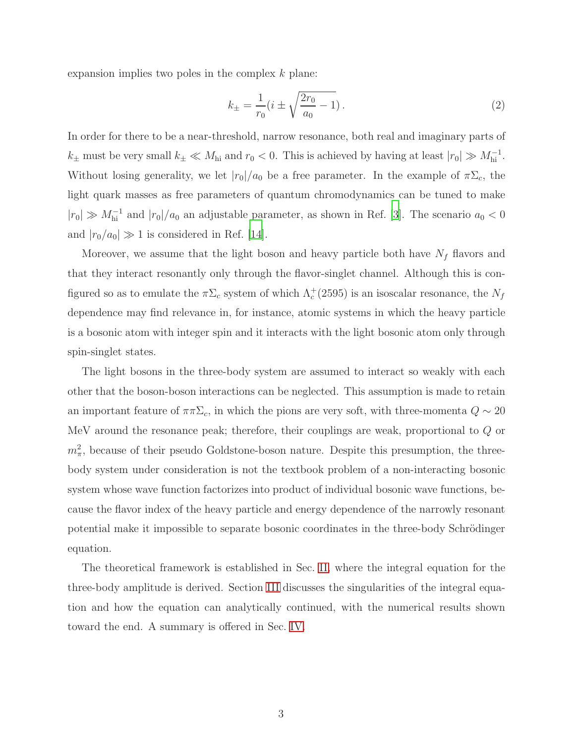expansion implies two poles in the complex  $k$  plane:

$$
k_{\pm} = \frac{1}{r_0} (i \pm \sqrt{\frac{2r_0}{a_0} - 1}).
$$
\n(2)

In order for there to be a near-threshold, narrow resonance, both real and imaginary parts of  $k_{\pm}$  must be very small  $k_{\pm} \ll M_{\text{hi}}$  and  $r_0 < 0$ . This is achieved by having at least  $|r_0| \gg M_{\text{hi}}^{-1}$ . Without losing generality, we let  $|r_0|/a_0$  be a free parameter. In the example of  $\pi\Sigma_c$ , the light quark masses as free parameters of quantum chromodynamics can be tuned to make  $|r_0| \gg M_{\text{hi}}^{-1}$  and  $|r_0|/a_0$  an adjustable parameter, as shown in Ref. [\[3\]](#page-13-2). The scenario  $a_0 < 0$ and  $|r_0/a_0| \gg 1$  is considered in Ref. [\[14\]](#page-14-4).

Moreover, we assume that the light boson and heavy particle both have  $N_f$  flavors and that they interact resonantly only through the flavor-singlet channel. Although this is configured so as to emulate the  $\pi\Sigma_c$  system of which  $\Lambda_c^+(2595)$  is an isoscalar resonance, the  $N_f$ dependence may find relevance in, for instance, atomic systems in which the heavy particle is a bosonic atom with integer spin and it interacts with the light bosonic atom only through spin-singlet states.

The light bosons in the three-body system are assumed to interact so weakly with each other that the boson-boson interactions can be neglected. This assumption is made to retain an important feature of  $\pi \pi \Sigma_c$ , in which the pions are very soft, with three-momenta  $Q \sim 20$ MeV around the resonance peak; therefore, their couplings are weak, proportional to Q or  $m_{\pi}^{2}$ , because of their pseudo Goldstone-boson nature. Despite this presumption, the threebody system under consideration is not the textbook problem of a non-interacting bosonic system whose wave function factorizes into product of individual bosonic wave functions, because the flavor index of the heavy particle and energy dependence of the narrowly resonant potential make it impossible to separate bosonic coordinates in the three-body Schrödinger equation.

The theoretical framework is established in Sec. [II,](#page-3-0) where the integral equation for the three-body amplitude is derived. Section [III](#page-7-0) discusses the singularities of the integral equation and how the equation can analytically continued, with the numerical results shown toward the end. A summary is offered in Sec. [IV.](#page-12-0)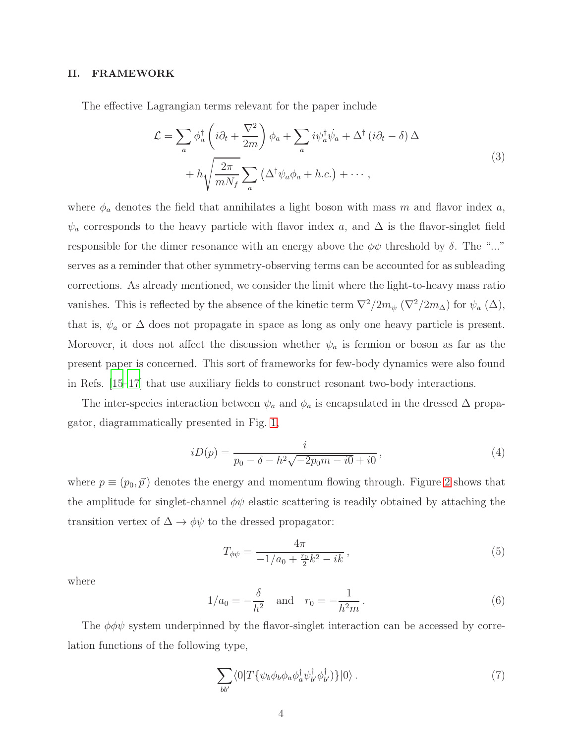# <span id="page-3-0"></span>II. FRAMEWORK

The effective Lagrangian terms relevant for the paper include

$$
\mathcal{L} = \sum_{a} \phi_{a}^{\dagger} \left( i \partial_{t} + \frac{\nabla^{2}}{2m} \right) \phi_{a} + \sum_{a} i \psi_{a}^{\dagger} \dot{\psi}_{a} + \Delta^{\dagger} \left( i \partial_{t} - \delta \right) \Delta + h \sqrt{\frac{2\pi}{m N_{f}}} \sum_{a} \left( \Delta^{\dagger} \psi_{a} \phi_{a} + h.c. \right) + \cdots,
$$
\n(3)

where  $\phi_a$  denotes the field that annihilates a light boson with mass m and flavor index a,  $\psi_a$  corresponds to the heavy particle with flavor index a, and  $\Delta$  is the flavor-singlet field responsible for the dimer resonance with an energy above the  $\phi\psi$  threshold by  $\delta$ . The "..." serves as a reminder that other symmetry-observing terms can be accounted for as subleading corrections. As already mentioned, we consider the limit where the light-to-heavy mass ratio vanishes. This is reflected by the absence of the kinetic term  $\nabla^2/2m_{\psi}$   $(\nabla^2/2m_{\Delta})$  for  $\psi_a$   $(\Delta)$ , that is,  $\psi_a$  or  $\Delta$  does not propagate in space as long as only one heavy particle is present. Moreover, it does not affect the discussion whether  $\psi_a$  is fermion or boson as far as the present paper is concerned. This sort of frameworks for few-body dynamics were also found in Refs. [\[15](#page-14-5)[–17\]](#page-14-6) that use auxiliary fields to construct resonant two-body interactions.

The inter-species interaction between  $\psi_a$  and  $\phi_a$  is encapsulated in the dressed  $\Delta$  propagator, diagrammatically presented in Fig. [1,](#page-4-0)

$$
iD(p) = \frac{i}{p_0 - \delta - h^2 \sqrt{-2p_0 m - i0} + i0},\tag{4}
$$

where  $p \equiv (p_0, \vec{p})$  denotes the energy and momentum flowing through. Figure [2](#page-4-1) shows that the amplitude for singlet-channel  $\phi\psi$  elastic scattering is readily obtained by attaching the transition vertex of  $\Delta \rightarrow \phi \psi$  to the dressed propagator:

$$
T_{\phi\psi} = \frac{4\pi}{-1/a_0 + \frac{r_0}{2}k^2 - ik},\tag{5}
$$

where

$$
1/a_0 = -\frac{\delta}{h^2}
$$
 and  $r_0 = -\frac{1}{h^2 m}$ . (6)

The  $\phi\phi\psi$  system underpinned by the flavor-singlet interaction can be accessed by correlation functions of the following type,

$$
\sum_{bb'} \langle 0|T\{\psi_b\phi_b\phi_a\phi_a^\dagger\psi_b^\dagger\phi_b^\dagger)\}|0\rangle. \tag{7}
$$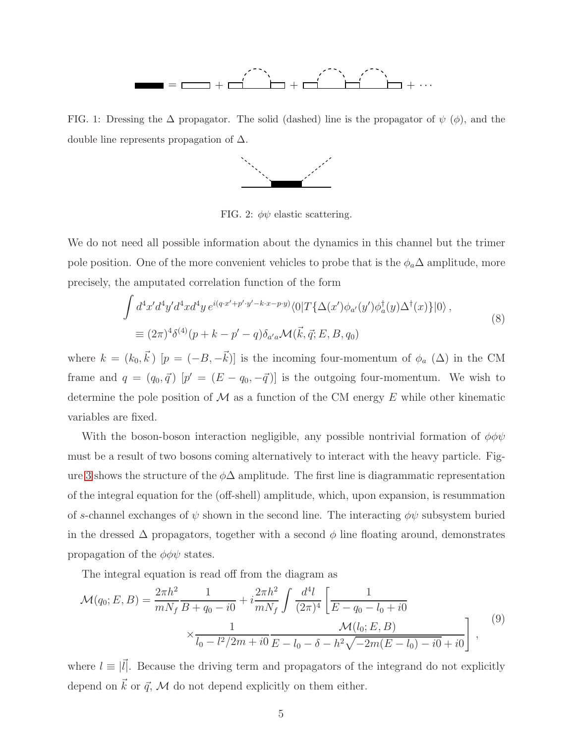

<span id="page-4-0"></span>FIG. 1: Dressing the  $\Delta$  propagator. The solid (dashed) line is the propagator of  $\psi$  ( $\phi$ ), and the double line represents propagation of  $\Delta$ .



<span id="page-4-1"></span>FIG. 2:  $\phi\psi$  elastic scattering.

We do not need all possible information about the dynamics in this channel but the trimer pole position. One of the more convenient vehicles to probe that is the  $\phi_a\Delta$  amplitude, more precisely, the amputated correlation function of the form

$$
\int d^4x'd^4y'd^4xd^4y e^{i(q\cdot x'+p'\cdot y'-k\cdot x-p\cdot y)}\langle 0|T\{\Delta(x')\phi_{a'}(y')\phi_a^\dagger(y)\Delta^\dagger(x)\}|0\rangle,
$$
\n
$$
\equiv (2\pi)^4\delta^{(4)}(p+k-p'-q)\delta_{a'a}\mathcal{M}(\vec{k},\vec{q};E,B,q_0)
$$
\n(8)

where  $k = (k_0, \vec{k})$   $[p = (-B, -\vec{k})]$  is the incoming four-momentum of  $\phi_a$  ( $\Delta$ ) in the CM frame and  $q = (q_0, \vec{q})$   $[p' = (E - q_0, -\vec{q})]$  is the outgoing four-momentum. We wish to determine the pole position of  $\mathcal M$  as a function of the CM energy E while other kinematic variables are fixed.

With the boson-boson interaction negligible, any possible nontrivial formation of  $\phi\phi\psi$ must be a result of two bosons coming alternatively to interact with the heavy particle. Fig-ure [3](#page-5-0) shows the structure of the  $\phi\Delta$  amplitude. The first line is diagrammatic representation of the integral equation for the (off-shell) amplitude, which, upon expansion, is resummation of s-channel exchanges of  $\psi$  shown in the second line. The interacting  $\phi\psi$  subsystem buried in the dressed  $\Delta$  propagators, together with a second  $\phi$  line floating around, demonstrates propagation of the  $\phi\phi\psi$  states.

The integral equation is read off from the diagram as

<span id="page-4-2"></span>
$$
\mathcal{M}(q_0; E, B) = \frac{2\pi h^2}{mN_f} \frac{1}{B + q_0 - i0} + i \frac{2\pi h^2}{mN_f} \int \frac{d^4l}{(2\pi)^4} \left[ \frac{1}{E - q_0 - l_0 + i0} \times \frac{1}{l_0 - l^2/2m + i0} \frac{M(l_0; E, B)}{E - l_0 - \delta - h^2 \sqrt{-2m(E - l_0) - i0} + i0} \right],
$$
\n(9)

where  $l \equiv |\vec{l}|$ . Because the driving term and propagators of the integrand do not explicitly depend on  $\vec{k}$  or  $\vec{q}$ , M do not depend explicitly on them either.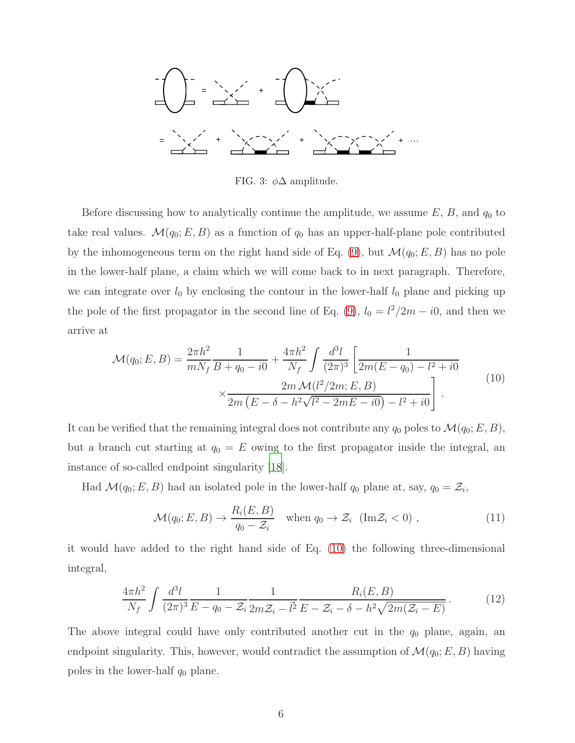$$
-\frac{1}{2} \int_{0}^{2\pi} e^{-x} \left( \frac{x}{2} + \frac{1}{2} \right) \left( \frac{x}{2} + \frac{1}{2} \right) \left( \frac{x}{2} + \frac{1}{2} \right) \left( \frac{x}{2} + \frac{1}{2} \right) \left( \frac{x}{2} + \frac{1}{2} \right) \left( \frac{x}{2} + \frac{1}{2} \right) \left( \frac{x}{2} + \frac{1}{2} \right) \left( \frac{x}{2} + \frac{1}{2} \right) \left( \frac{x}{2} + \frac{1}{2} \right) \left( \frac{x}{2} + \frac{1}{2} \right) \left( \frac{x}{2} + \frac{1}{2} \right) \left( \frac{x}{2} + \frac{1}{2} \right) \left( \frac{x}{2} + \frac{1}{2} \right) \left( \frac{x}{2} + \frac{1}{2} \right) \left( \frac{x}{2} + \frac{1}{2} \right) \left( \frac{x}{2} + \frac{1}{2} \right) \left( \frac{x}{2} + \frac{1}{2} \right) \left( \frac{x}{2} + \frac{1}{2} \right) \left( \frac{x}{2} + \frac{1}{2} \right) \left( \frac{x}{2} + \frac{1}{2} \right) \left( \frac{x}{2} + \frac{1}{2} \right) \left( \frac{x}{2} + \frac{1}{2} \right) \left( \frac{x}{2} + \frac{1}{2} \right) \left( \frac{x}{2} + \frac{1}{2} \right) \left( \frac{x}{2} + \frac{1}{2} \right) \left( \frac{x}{2} + \frac{1}{2} \right) \left( \frac{x}{2} + \frac{1}{2} \right) \left( \frac{x}{2} + \frac{1}{2} \right) \left( \frac{x}{2} + \frac{1}{2} \right) \left( \frac{x}{2} + \frac{1}{2} \right) \left( \frac{x}{2} + \frac{1}{2} \right) \left( \frac{x}{2} + \frac{1}{2} \right) \left( \frac{x}{2} + \frac{1}{2} \right) \left( \frac{x}{2} + \frac{1}{2} \right) \left( \frac{x}{2} + \frac{1}{2} \right) \left( \frac{x}{2} + \frac{1}{2} \right) \left( \frac{x}{2} + \frac{1}{2} \
$$

<span id="page-5-0"></span>FIG. 3:  $\phi\Delta$  amplitude.

Before discussing how to analytically continue the amplitude, we assume  $E, B$ , and  $q_0$  to take real values.  $\mathcal{M}(q_0; E, B)$  as a function of  $q_0$  has an upper-half-plane pole contributed by the inhomogeneous term on the right hand side of Eq. [\(9\)](#page-4-2), but  $\mathcal{M}(q_0; E, B)$  has no pole in the lower-half plane, a claim which we will come back to in next paragraph. Therefore, we can integrate over  $l_0$  by enclosing the contour in the lower-half  $l_0$  plane and picking up the pole of the first propagator in the second line of Eq. [\(9\)](#page-4-2),  $l_0 = l^2/2m - i0$ , and then we arrive at

<span id="page-5-1"></span>
$$
\mathcal{M}(q_0; E, B) = \frac{2\pi h^2}{mN_f} \frac{1}{B + q_0 - i0} + \frac{4\pi h^2}{N_f} \int \frac{d^3l}{(2\pi)^3} \left[ \frac{1}{2m(E - q_0) - l^2 + i0} \times \frac{2m \mathcal{M}(l^2/2m; E, B)}{2m(E - \delta - h^2\sqrt{l^2 - 2mE - i0}) - l^2 + i0} \right] \tag{10}
$$

It can be verified that the remaining integral does not contribute any  $q_0$  poles to  $\mathcal{M}(q_0; E, B)$ , but a branch cut starting at  $q_0 = E$  owing to the first propagator inside the integral, an instance of so-called endpoint singularity [\[18](#page-14-7)].

Had  $\mathcal{M}(q_0; E, B)$  had an isolated pole in the lower-half  $q_0$  plane at, say,  $q_0 = \mathcal{Z}_i$ ,

$$
\mathcal{M}(q_0; E, B) \to \frac{R_i(E, B)}{q_0 - \mathcal{Z}_i} \quad \text{when } q_0 \to \mathcal{Z}_i \text{ (Im } \mathcal{Z}_i < 0), \tag{11}
$$

it would have added to the right hand side of Eq. [\(10\)](#page-5-1) the following three-dimensional integral,

$$
\frac{4\pi h^2}{N_f} \int \frac{d^3l}{(2\pi)^3} \frac{1}{E - q_0 - \mathcal{Z}_i} \frac{1}{2m\mathcal{Z}_i - \vec{l}^2} \frac{R_i(E, B)}{E - \mathcal{Z}_i - \delta - h^2 \sqrt{2m(\mathcal{Z}_i - E)}}.
$$
(12)

The above integral could have only contributed another cut in the  $q_0$  plane, again, an endpoint singularity. This, however, would contradict the assumption of  $\mathcal{M}(q_0; E, B)$  having poles in the lower-half  $q_0$  plane.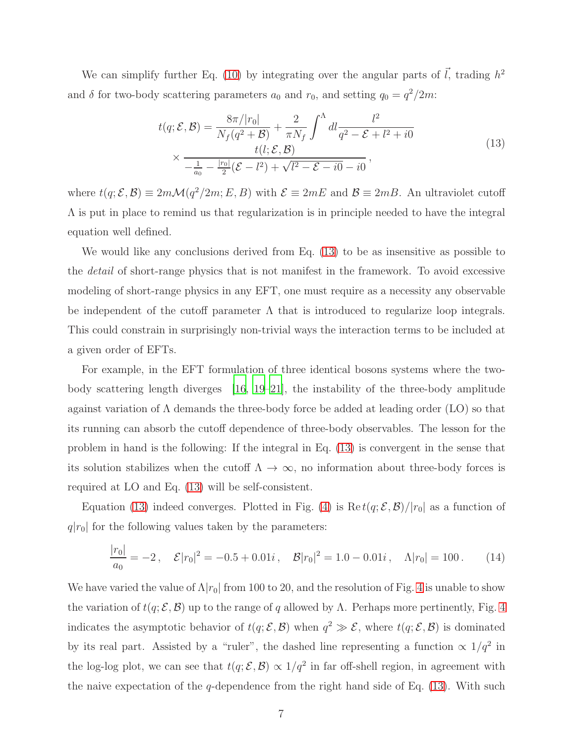We can simplify further Eq. [\(10\)](#page-5-1) by integrating over the angular parts of  $\vec{l}$ , trading  $h^2$ and  $\delta$  for two-body scattering parameters  $a_0$  and  $r_0$ , and setting  $q_0 = q^2/2m$ :

$$
t(q; \mathcal{E}, \mathcal{B}) = \frac{8\pi/|r_0|}{N_f(q^2 + \mathcal{B})} + \frac{2}{\pi N_f} \int^{\Lambda} dl \frac{l^2}{q^2 - \mathcal{E} + l^2 + i0} \times \frac{t(l; \mathcal{E}, \mathcal{B})}{-\frac{1}{a_0} - \frac{|r_0|}{2} (\mathcal{E} - l^2) + \sqrt{l^2 - \mathcal{E} - i0} - i0},
$$
\n(13)

<span id="page-6-0"></span>where  $t(q; \mathcal{E}, \mathcal{B}) \equiv 2m\mathcal{M}(q^2/2m; E, B)$  with  $\mathcal{E} \equiv 2mE$  and  $\mathcal{B} \equiv 2mB$ . An ultraviolet cutoff  $\Lambda$  is put in place to remind us that regularization is in principle needed to have the integral equation well defined.

We would like any conclusions derived from Eq. [\(13\)](#page-6-0) to be as insensitive as possible to the detail of short-range physics that is not manifest in the framework. To avoid excessive modeling of short-range physics in any EFT, one must require as a necessity any observable be independent of the cutoff parameter  $\Lambda$  that is introduced to regularize loop integrals. This could constrain in surprisingly non-trivial ways the interaction terms to be included at a given order of EFTs.

For example, in the EFT formulation of three identical bosons systems where the twobody scattering length diverges [\[16,](#page-14-8) [19](#page-14-9)[–21\]](#page-14-10), the instability of the three-body amplitude against variation of  $\Lambda$  demands the three-body force be added at leading order (LO) so that its running can absorb the cutoff dependence of three-body observables. The lesson for the problem in hand is the following: If the integral in Eq. [\(13\)](#page-6-0) is convergent in the sense that its solution stabilizes when the cutoff  $\Lambda \to \infty$ , no information about three-body forces is required at LO and Eq. [\(13\)](#page-6-0) will be self-consistent.

Equation [\(13\)](#page-6-0) indeed converges. Plotted in Fig. [\(4\)](#page-7-1) is  $\text{Re } t(q; \mathcal{E}, \mathcal{B})/|r_0|$  as a function of  $q|r_0|$  for the following values taken by the parameters:

$$
\frac{|r_0|}{a_0} = -2 \,, \quad \mathcal{E}|r_0|^2 = -0.5 + 0.01i \,, \quad \mathcal{B}|r_0|^2 = 1.0 - 0.01i \,, \quad \Lambda|r_0| = 100 \,. \tag{14}
$$

We have varied the value of  $\Lambda |r_0|$  from 100 to 20, and the resolution of Fig. [4](#page-7-1) is unable to show the variation of  $t(q; \mathcal{E}, \mathcal{B})$  up to the range of q allowed by Λ. Perhaps more pertinently, Fig. [4](#page-7-1) indicates the asymptotic behavior of  $t(q;\mathcal{E},\mathcal{B})$  when  $q^2 \gg \mathcal{E}$ , where  $t(q;\mathcal{E},\mathcal{B})$  is dominated by its real part. Assisted by a "ruler", the dashed line representing a function  $\propto 1/q^2$  in the log-log plot, we can see that  $t(q; \mathcal{E}, \mathcal{B}) \propto 1/q^2$  in far off-shell region, in agreement with the naive expectation of the  $q$ -dependence from the right hand side of Eq. [\(13\)](#page-6-0). With such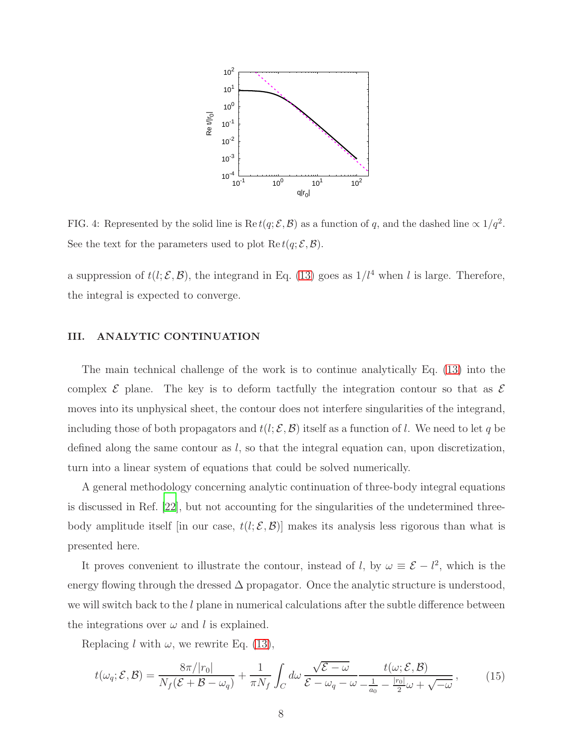

<span id="page-7-1"></span>FIG. 4: Represented by the solid line is  $\text{Re } t(q;\mathcal{E}, \mathcal{B})$  as a function of q, and the dashed line  $\propto 1/q^2$ . See the text for the parameters used to plot  $\text{Re } t(q; \mathcal{E}, \mathcal{B})$ .

a suppression of  $t(l; \mathcal{E}, \mathcal{B})$ , the integrand in Eq. [\(13\)](#page-6-0) goes as  $1/l^4$  when l is large. Therefore, the integral is expected to converge.

# <span id="page-7-0"></span>III. ANALYTIC CONTINUATION

The main technical challenge of the work is to continue analytically Eq. [\(13\)](#page-6-0) into the complex  $\mathcal E$  plane. The key is to deform tactfully the integration contour so that as  $\mathcal E$ moves into its unphysical sheet, the contour does not interfere singularities of the integrand, including those of both propagators and  $t(l; \mathcal{E}, \mathcal{B})$  itself as a function of l. We need to let q be defined along the same contour as  $l$ , so that the integral equation can, upon discretization, turn into a linear system of equations that could be solved numerically.

A general methodology concerning analytic continuation of three-body integral equations is discussed in Ref. [\[22](#page-14-11)], but not accounting for the singularities of the undetermined threebody amplitude itself [in our case,  $t(l; \mathcal{E}, \mathcal{B})$ ] makes its analysis less rigorous than what is presented here.

It proves convenient to illustrate the contour, instead of l, by  $\omega \equiv \mathcal{E} - l^2$ , which is the energy flowing through the dressed  $\Delta$  propagator. Once the analytic structure is understood, we will switch back to the  $l$  plane in numerical calculations after the subtle difference between the integrations over  $\omega$  and l is explained.

Replacing l with  $\omega$ , we rewrite Eq. [\(13\)](#page-6-0),

<span id="page-7-2"></span>
$$
t(\omega_q; \mathcal{E}, \mathcal{B}) = \frac{8\pi/|r_0|}{N_f(\mathcal{E} + \mathcal{B} - \omega_q)} + \frac{1}{\pi N_f} \int_C d\omega \frac{\sqrt{\mathcal{E} - \omega}}{\mathcal{E} - \omega_q - \omega} \frac{t(\omega; \mathcal{E}, \mathcal{B})}{-\frac{1}{a_0} - \frac{|r_0|}{2}\omega + \sqrt{-\omega}},
$$
(15)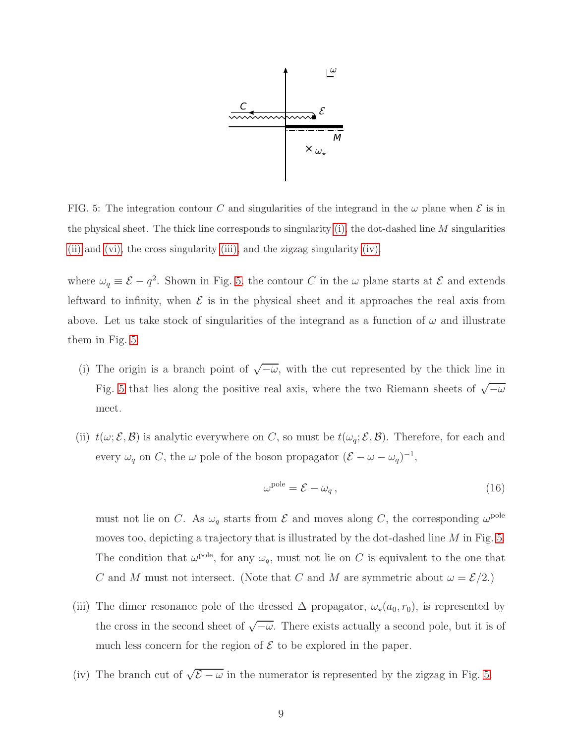

<span id="page-8-4"></span>FIG. 5: The integration contour C and singularities of the integrand in the  $\omega$  plane when  $\mathcal E$  is in the physical sheet. The thick line corresponds to singularity  $(i)$ , the dot-dashed line M singularities [\(ii\)](#page-8-1) and [\(vi\),](#page-9-0) the cross singularity [\(iii\),](#page-8-2) and the zigzag singularity [\(iv\).](#page-8-3)

where  $\omega_q \equiv \mathcal{E} - q^2$ . Shown in Fig. [5,](#page-8-4) the contour C in the  $\omega$  plane starts at  $\mathcal{E}$  and extends leftward to infinity, when  $\mathcal E$  is in the physical sheet and it approaches the real axis from above. Let us take stock of singularities of the integrand as a function of  $\omega$  and illustrate them in Fig. [5:](#page-8-4)

- <span id="page-8-0"></span>(i) The origin is a branch point of  $\sqrt{\frac{-\omega}{\omega}}$ , with the cut represented by the thick line in Fig. [5](#page-8-4) that lies along the positive real axis, where the two Riemann sheets of  $\sqrt{\frac{\omega}{n}}$ meet.
- <span id="page-8-1"></span>(ii)  $t(\omega; \mathcal{E}, \mathcal{B})$  is analytic everywhere on C, so must be  $t(\omega_q; \mathcal{E}, \mathcal{B})$ . Therefore, for each and every  $\omega_q$  on C, the  $\omega$  pole of the boson propagator  $(\mathcal{E} - \omega - \omega_q)^{-1}$ ,

$$
\omega^{\text{pole}} = \mathcal{E} - \omega_q \,,\tag{16}
$$

must not lie on C. As  $\omega_q$  starts from  $\mathcal E$  and moves along C, the corresponding  $\omega^{\text{pole}}$ moves too, depicting a trajectory that is illustrated by the dot-dashed line  $M$  in Fig. [5.](#page-8-4) The condition that  $\omega^{\text{pole}}$ , for any  $\omega_q$ , must not lie on C is equivalent to the one that C and M must not intersect. (Note that C and M are symmetric about  $\omega = \mathcal{E}/2$ .)

- <span id="page-8-2"></span>(iii) The dimer resonance pole of the dressed  $\Delta$  propagator,  $\omega_{\star}(a_0, r_0)$ , is represented by the cross in the second sheet of  $\sqrt{\frac{1}{\omega}}$ . There exists actually a second pole, but it is of much less concern for the region of  $\mathcal E$  to be explored in the paper.
- <span id="page-8-3"></span>(iv) The branch cut of  $\sqrt{\mathcal{E} - \omega}$  in the numerator is represented by the zigzag in Fig. [5.](#page-8-4)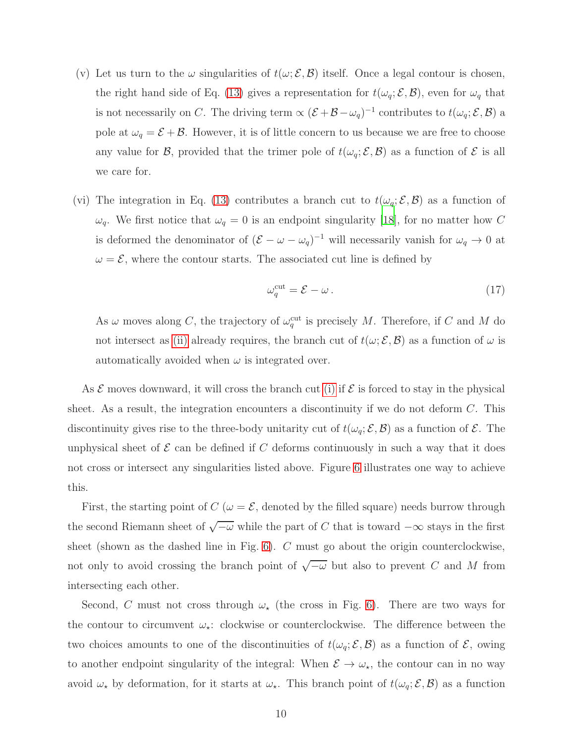- (v) Let us turn to the  $\omega$  singularities of  $t(\omega; \mathcal{E}, \mathcal{B})$  itself. Once a legal contour is chosen, the right hand side of Eq. [\(13\)](#page-6-0) gives a representation for  $t(\omega_q; \mathcal{E}, \mathcal{B})$ , even for  $\omega_q$  that is not necessarily on C. The driving term  $\propto (\mathcal{E}+\mathcal{B}-\omega_q)^{-1}$  contributes to  $t(\omega_q;\mathcal{E},\mathcal{B})$  a pole at  $\omega_q = \mathcal{E} + \mathcal{B}$ . However, it is of little concern to us because we are free to choose any value for B, provided that the trimer pole of  $t(\omega_q; \mathcal{E}, \mathcal{B})$  as a function of E is all we care for.
- <span id="page-9-0"></span>(vi) The integration in Eq. [\(13\)](#page-6-0) contributes a branch cut to  $t(\omega_q; \mathcal{E}, \mathcal{B})$  as a function of  $\omega_q$ . We first notice that  $\omega_q = 0$  is an endpoint singularity [\[18\]](#page-14-7), for no matter how C is deformed the denominator of  $(\mathcal{E} - \omega - \omega_q)^{-1}$  will necessarily vanish for  $\omega_q \to 0$  at  $\omega = \mathcal{E}$ , where the contour starts. The associated cut line is defined by

$$
\omega_q^{\rm cut} = \mathcal{E} - \omega \,. \tag{17}
$$

As  $\omega$  moves along C, the trajectory of  $\omega_q^{\text{cut}}$  is precisely M. Therefore, if C and M do not intersect as [\(ii\)](#page-8-1) already requires, the branch cut of  $t(\omega; \mathcal{E}, \mathcal{B})$  as a function of  $\omega$  is automatically avoided when  $\omega$  is integrated over.

As  $\mathcal E$  moves downward, it will cross the branch cut [\(i\)](#page-8-0) if  $\mathcal E$  is forced to stay in the physical sheet. As a result, the integration encounters a discontinuity if we do not deform C. This discontinuity gives rise to the three-body unitarity cut of  $t(\omega_q; \mathcal{E}, \mathcal{B})$  as a function of  $\mathcal{E}$ . The unphysical sheet of  $\mathcal E$  can be defined if  $C$  deforms continuously in such a way that it does not cross or intersect any singularities listed above. Figure [6](#page-10-0) illustrates one way to achieve this.

First, the starting point of  $C(\omega = \mathcal{E}$ , denoted by the filled square) needs burrow through the second Riemann sheet of  $\sqrt{\mathcal{-}\omega}$  while the part of C that is toward  $-\infty$  stays in the first sheet (shown as the dashed line in Fig. [6\)](#page-10-0). C must go about the origin counterclockwise, not only to avoid crossing the branch point of  $\sqrt{\overline{\phantom{m}}\omega}$  but also to prevent C and M from intersecting each other.

Second, C must not cross through  $\omega_{\star}$  (the cross in Fig. [6\)](#page-10-0). There are two ways for the contour to circumvent  $\omega_{\star}$ : clockwise or counterclockwise. The difference between the two choices amounts to one of the discontinuities of  $t(\omega_q; \mathcal{E}, \mathcal{B})$  as a function of  $\mathcal{E}$ , owing to another endpoint singularity of the integral: When  $\mathcal{E} \to \omega_{\star}$ , the contour can in no way avoid  $\omega_\star$  by deformation, for it starts at  $\omega_\star$ . This branch point of  $t(\omega_q; \mathcal{E}, \mathcal{B})$  as a function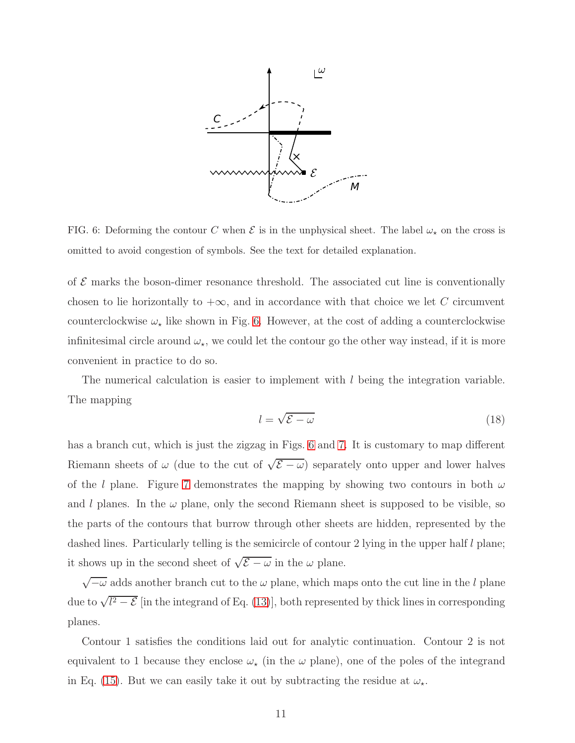

<span id="page-10-0"></span>FIG. 6: Deforming the contour C when  $\mathcal E$  is in the unphysical sheet. The label  $\omega_{\star}$  on the cross is omitted to avoid congestion of symbols. See the text for detailed explanation.

of  $\mathcal E$  marks the boson-dimer resonance threshold. The associated cut line is conventionally chosen to lie horizontally to  $+\infty$ , and in accordance with that choice we let C circumvent counterclockwise  $\omega_{\star}$  like shown in Fig. [6.](#page-10-0) However, at the cost of adding a counterclockwise infinitesimal circle around  $\omega_{\star}$ , we could let the contour go the other way instead, if it is more convenient in practice to do so.

The numerical calculation is easier to implement with  $l$  being the integration variable. The mapping

$$
l = \sqrt{\mathcal{E} - \omega} \tag{18}
$$

has a branch cut, which is just the zigzag in Figs. [6](#page-10-0) and [7.](#page-11-0) It is customary to map different Riemann sheets of  $\omega$  (due to the cut of  $\sqrt{\mathcal{E} - \omega}$ ) separately onto upper and lower halves of the l plane. Figure [7](#page-11-0) demonstrates the mapping by showing two contours in both  $\omega$ and l planes. In the  $\omega$  plane, only the second Riemann sheet is supposed to be visible, so the parts of the contours that burrow through other sheets are hidden, represented by the dashed lines. Particularly telling is the semicircle of contour 2 lying in the upper half  $l$  plane; it shows up in the second sheet of  $\sqrt{\mathcal{E} - \omega}$  in the  $\omega$  plane.

 $\sqrt{-\omega}$  adds another branch cut to the  $\omega$  plane, which maps onto the cut line in the l plane due to  $\sqrt{l^2-\mathcal{E}}$  [in the integrand of Eq. [\(13\)](#page-6-0)], both represented by thick lines in corresponding planes.

Contour 1 satisfies the conditions laid out for analytic continuation. Contour 2 is not equivalent to 1 because they enclose  $\omega_{\star}$  (in the  $\omega$  plane), one of the poles of the integrand in Eq. [\(15\)](#page-7-2). But we can easily take it out by subtracting the residue at  $\omega_{\star}$ .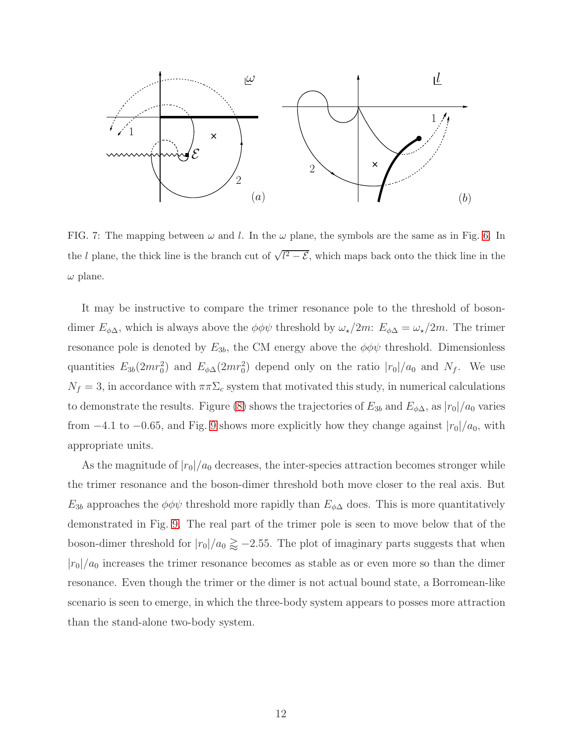

<span id="page-11-0"></span>FIG. 7: The mapping between  $\omega$  and l. In the  $\omega$  plane, the symbols are the same as in Fig. [6.](#page-10-0) In the l plane, the thick line is the branch cut of  $\sqrt{l^2-\mathcal{E}}$ , which maps back onto the thick line in the  $\omega$  plane.

It may be instructive to compare the trimer resonance pole to the threshold of bosondimer  $E_{\phi\Delta}$ , which is always above the  $\phi\phi\psi$  threshold by  $\omega_{\star}/2m$ :  $E_{\phi\Delta} = \omega_{\star}/2m$ . The trimer resonance pole is denoted by  $E_{3b}$ , the CM energy above the  $\phi\phi\psi$  threshold. Dimensionless quantities  $E_{3b}(2mr_0^2)$  and  $E_{\phi\Delta}(2mr_0^2)$  depend only on the ratio  $|r_0|/a_0$  and  $N_f$ . We use  $N_f = 3$ , in accordance with  $\pi \pi \Sigma_c$  system that motivated this study, in numerical calculations to demonstrate the results. Figure [\(8\)](#page-12-1) shows the trajectories of  $E_{3b}$  and  $E_{\phi\Delta}$ , as  $|r_0|/a_0$  varies from −4.1 to −0.65, and Fig. [9](#page-12-2) shows more explicitly how they change against  $|r_0|/a_0$ , with appropriate units.

As the magnitude of  $|r_0|/a_0$  decreases, the inter-species attraction becomes stronger while the trimer resonance and the boson-dimer threshold both move closer to the real axis. But  $E_{3b}$  approaches the  $\phi\phi\psi$  threshold more rapidly than  $E_{\phi\Delta}$  does. This is more quantitatively demonstrated in Fig. [9.](#page-12-2) The real part of the trimer pole is seen to move below that of the boson-dimer threshold for  $|r_0|/a_0 \gtrapprox -2.55$ . The plot of imaginary parts suggests that when  $|r_0|/a_0$  increases the trimer resonance becomes as stable as or even more so than the dimer resonance. Even though the trimer or the dimer is not actual bound state, a Borromean-like scenario is seen to emerge, in which the three-body system appears to posses more attraction than the stand-alone two-body system.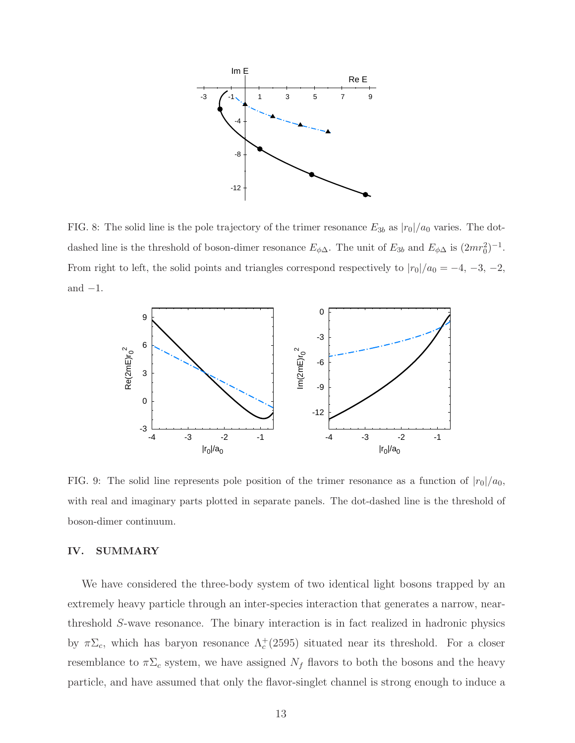

<span id="page-12-1"></span>FIG. 8: The solid line is the pole trajectory of the trimer resonance  $E_{3b}$  as  $|r_0|/a_0$  varies. The dotdashed line is the threshold of boson-dimer resonance  $E_{\phi\Delta}$ . The unit of  $E_{3b}$  and  $E_{\phi\Delta}$  is  $(2mr_0^2)^{-1}$ . From right to left, the solid points and triangles correspond respectively to  $|r_0|/a_0 = -4, -3, -2,$ and  $-1$ .



<span id="page-12-2"></span>FIG. 9: The solid line represents pole position of the trimer resonance as a function of  $|r_0|/a_0$ , with real and imaginary parts plotted in separate panels. The dot-dashed line is the threshold of boson-dimer continuum.

### <span id="page-12-0"></span>IV. SUMMARY

We have considered the three-body system of two identical light bosons trapped by an extremely heavy particle through an inter-species interaction that generates a narrow, nearthreshold S-wave resonance. The binary interaction is in fact realized in hadronic physics by  $\pi\Sigma_c$ , which has baryon resonance  $\Lambda_c^+(2595)$  situated near its threshold. For a closer resemblance to  $\pi\Sigma_c$  system, we have assigned  $N_f$  flavors to both the bosons and the heavy particle, and have assumed that only the flavor-singlet channel is strong enough to induce a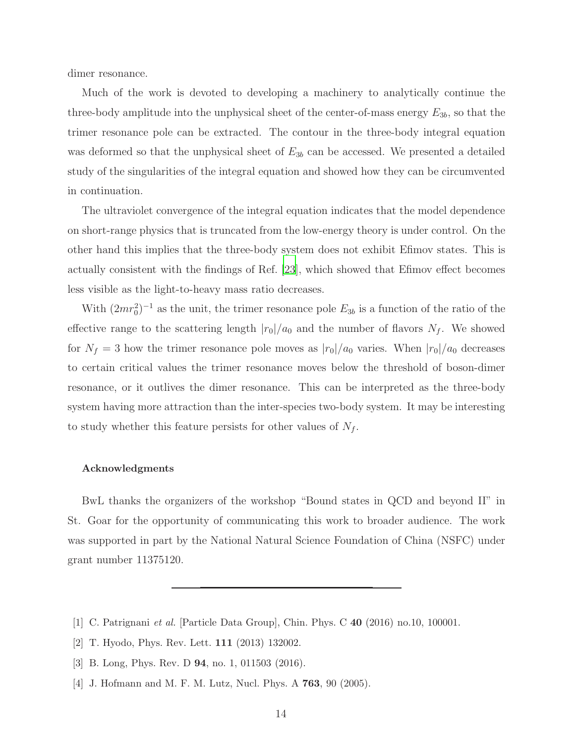dimer resonance.

Much of the work is devoted to developing a machinery to analytically continue the three-body amplitude into the unphysical sheet of the center-of-mass energy  $E_{3b}$ , so that the trimer resonance pole can be extracted. The contour in the three-body integral equation was deformed so that the unphysical sheet of  $E_{3b}$  can be accessed. We presented a detailed study of the singularities of the integral equation and showed how they can be circumvented in continuation.

The ultraviolet convergence of the integral equation indicates that the model dependence on short-range physics that is truncated from the low-energy theory is under control. On the other hand this implies that the three-body system does not exhibit Efimov states. This is actually consistent with the findings of Ref. [\[23\]](#page-14-12), which showed that Efimov effect becomes less visible as the light-to-heavy mass ratio decreases.

With  $(2mr_0^2)^{-1}$  as the unit, the trimer resonance pole  $E_{3b}$  is a function of the ratio of the effective range to the scattering length  $|r_0|/a_0$  and the number of flavors  $N_f$ . We showed for  $N_f = 3$  how the trimer resonance pole moves as  $|r_0|/a_0$  varies. When  $|r_0|/a_0$  decreases to certain critical values the trimer resonance moves below the threshold of boson-dimer resonance, or it outlives the dimer resonance. This can be interpreted as the three-body system having more attraction than the inter-species two-body system. It may be interesting to study whether this feature persists for other values of  $N_f$ .

### Acknowledgments

BwL thanks the organizers of the workshop "Bound states in QCD and beyond II" in St. Goar for the opportunity of communicating this work to broader audience. The work was supported in part by the National Natural Science Foundation of China (NSFC) under grant number 11375120.

- <span id="page-13-0"></span>[1] C. Patrignani et al. [Particle Data Group], Chin. Phys. C 40 (2016) no.10, 100001.
- <span id="page-13-1"></span>[2] T. Hyodo, Phys. Rev. Lett. 111 (2013) 132002.
- <span id="page-13-2"></span>[3] B. Long, Phys. Rev. D 94, no. 1, 011503 (2016).
- [4] J. Hofmann and M. F. M. Lutz, Nucl. Phys. A 763, 90 (2005).